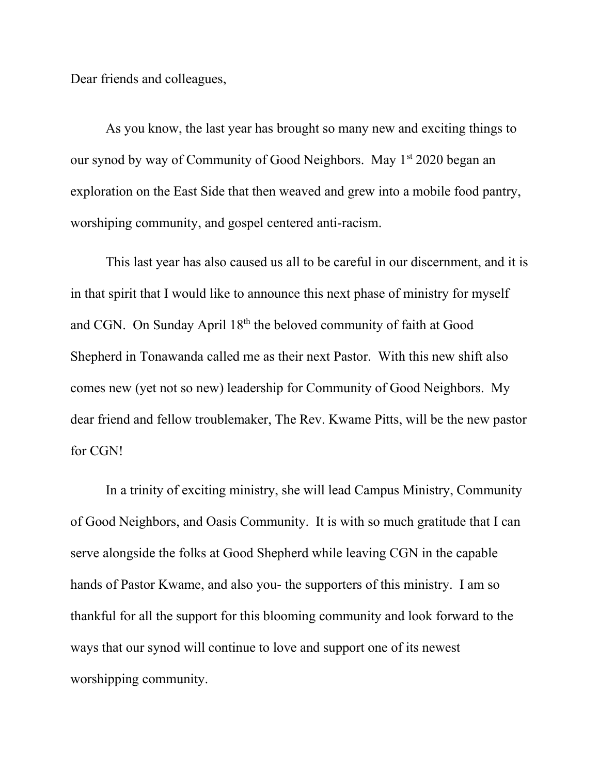Dear friends and colleagues,

As you know, the last year has brought so many new and exciting things to our synod by way of Community of Good Neighbors. May 1<sup>st</sup> 2020 began an exploration on the East Side that then weaved and grew into a mobile food pantry, worshiping community, and gospel centered anti-racism.

This last year has also caused us all to be careful in our discernment, and it is in that spirit that I would like to announce this next phase of ministry for myself and CGN. On Sunday April 18th the beloved community of faith at Good Shepherd in Tonawanda called me as their next Pastor. With this new shift also comes new (yet not so new) leadership for Community of Good Neighbors. My dear friend and fellow troublemaker, The Rev. Kwame Pitts, will be the new pastor for CGN!

In a trinity of exciting ministry, she will lead Campus Ministry, Community of Good Neighbors, and Oasis Community. It is with so much gratitude that I can serve alongside the folks at Good Shepherd while leaving CGN in the capable hands of Pastor Kwame, and also you- the supporters of this ministry. I am so thankful for all the support for this blooming community and look forward to the ways that our synod will continue to love and support one of its newest worshipping community.